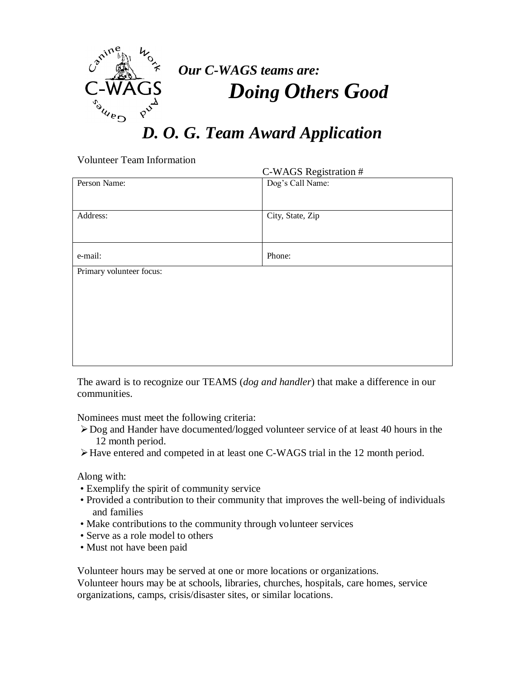

## *D. O. G. Team Award Application*

Volunteer Team Information

| C-WAGS Registration #    |                  |
|--------------------------|------------------|
| Person Name:             | Dog's Call Name: |
| Address:                 | City, State, Zip |
| e-mail:                  | Phone:           |
| Primary volunteer focus: |                  |
|                          |                  |
|                          |                  |
|                          |                  |
|                          |                  |
|                          |                  |
|                          |                  |

The award is to recognize our TEAMS (*dog and handler*) that make a difference in our communities.

Nominees must meet the following criteria:

- Dog and Hander have documented/logged volunteer service of at least 40 hours in the 12 month period.
- Have entered and competed in at least one C-WAGS trial in the 12 month period.

Along with:

- Exemplify the spirit of community service
- Provided a contribution to their community that improves the well-being of individuals and families
- Make contributions to the community through volunteer services
- Serve as a role model to others
- Must not have been paid

Volunteer hours may be served at one or more locations or organizations. Volunteer hours may be at schools, libraries, churches, hospitals, care homes, service organizations, camps, crisis/disaster sites, or similar locations.